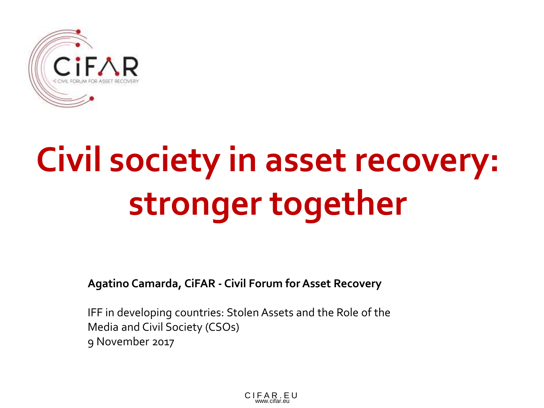

# **Civil society in asset recovery: stronger together**

**Agatino Camarda, CiFAR - Civil Forum for Asset Recovery**

IFF in developing countries: Stolen Assets and the Role of the Media and Civil Society (CSOs) 9 November 2017

> C I F A R . E U www.cifar.eu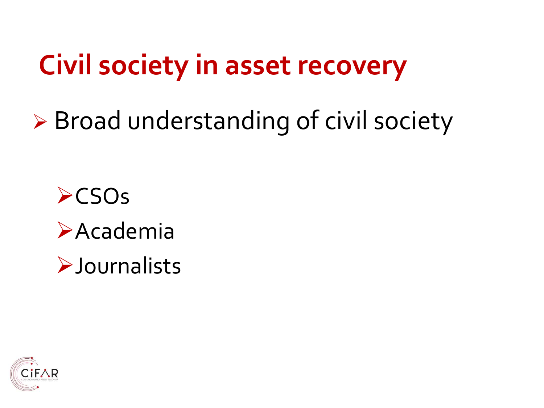# **Civil society in asset recovery**

 $\triangleright$  Broad understanding of civil society

 $\triangleright$ CSOs **>Academia >Journalists** 

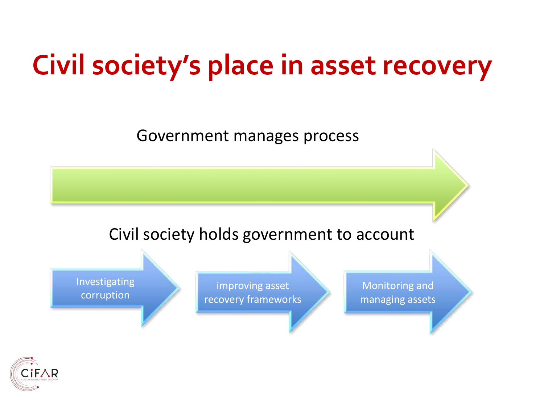# **Civil society's place in asset recovery**

Government manages process

#### Civil society holds government to account

Investigating corruption

improving asset recovery frameworks

Monitoring and managing assets

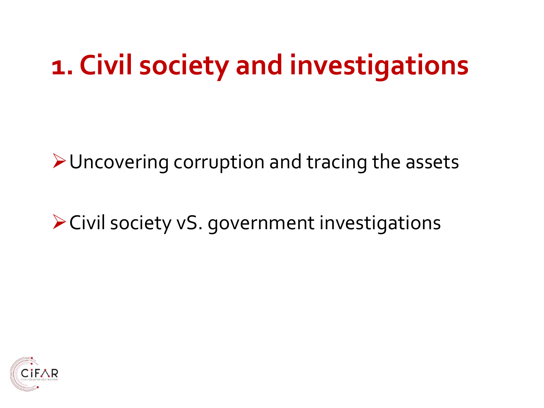# **1. Civil society and investigations**

**≻ Uncovering corruption and tracing the assets** 

Civil society vS. government investigations

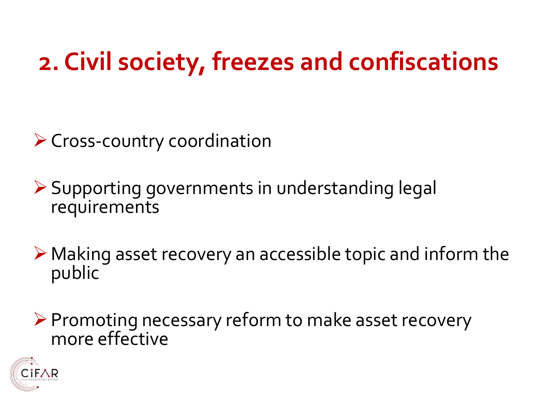### **2. Civil society, freezes and confiscations**

### ▶ Cross-country coordination

Supporting governments in understanding legal requirements

 $\triangleright$  Making asset recovery an accessible topic and inform the public

▶ Promoting necessary reform to make asset recovery more effective

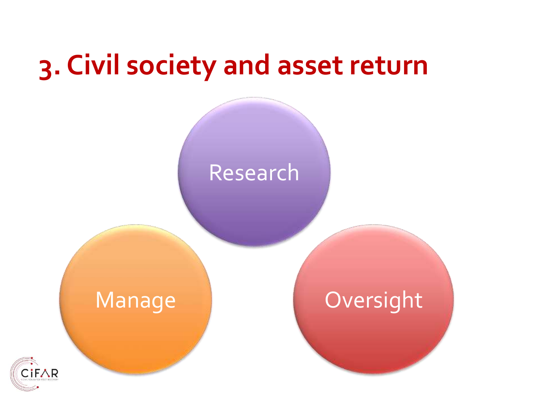### **3. Civil society and asset return**

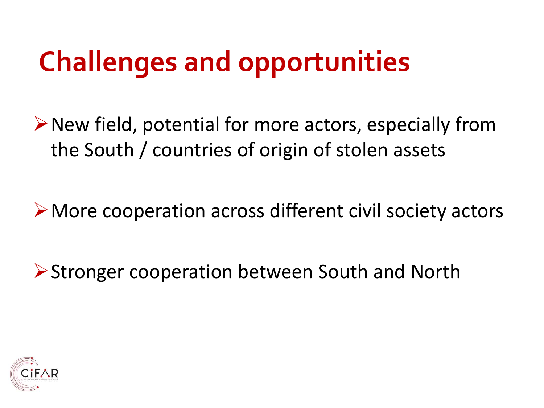# **Challenges and opportunities**

 $\triangleright$  New field, potential for more actors, especially from the South / countries of origin of stolen assets

▶ More cooperation across different civil society actors

▶ Stronger cooperation between South and North

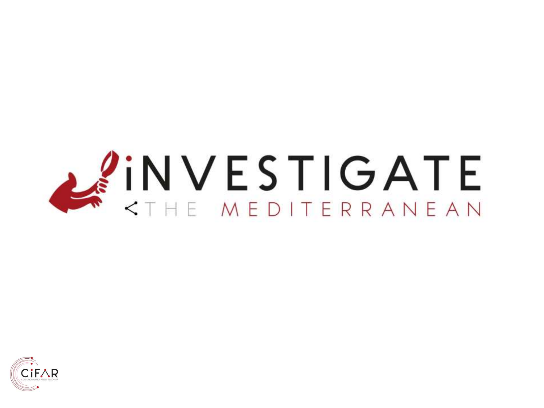

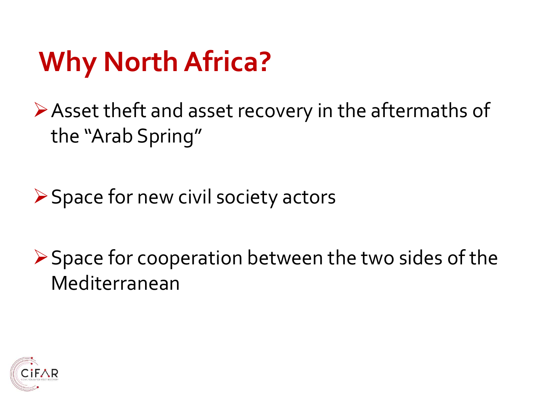# **Why North Africa?**

Asset theft and asset recovery in the aftermaths of the "Arab Spring"

▶ Space for new civil society actors

 $\triangleright$  Space for cooperation between the two sides of the Mediterranean

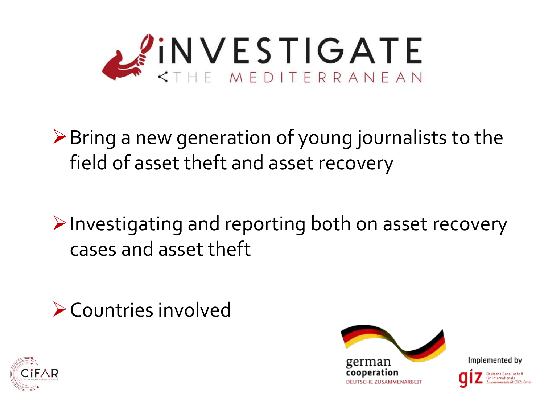

 $\triangleright$  Bring a new generation of young journalists to the field of asset theft and asset recovery

 $\triangleright$  Investigating and reporting both on asset recovery cases and asset theft

Countries involved



Implemented by



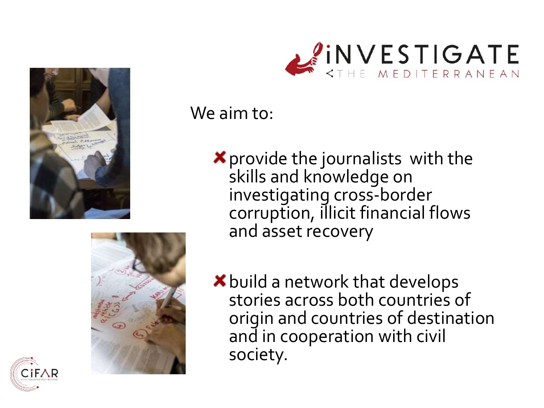



#### We aim to:

provide the journalists with the skills and knowledge on investigating cross-border corruption, illicit financial flows and asset recovery



**\*** build a network that develops stories across both countries of origin and countries of destination and in cooperation with civil society.

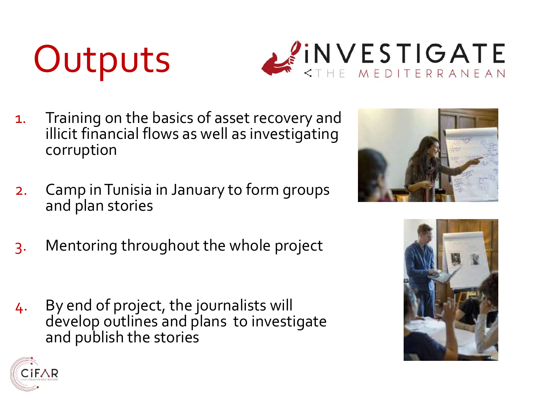# **Outputs**



- 1. Training on the basics of asset recovery and illicit financial flows as well as investigating corruption
- 2. Camp in Tunisia in January to form groups and plan stories
- 3. Mentoring throughout the whole project
- 4. By end of project, the journalists will develop outlines and plans to investigate and publish the stories